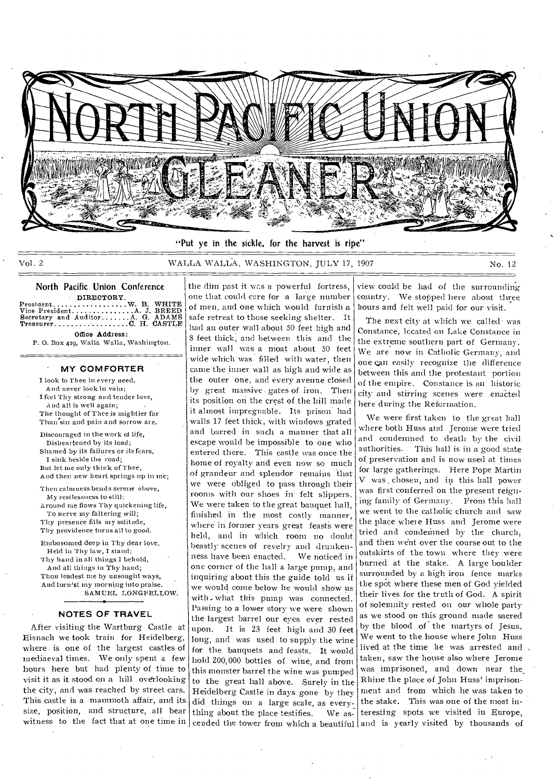

"Put ye in the sickle, for the harvest is ripe"

Vol. 2 WALLA WALLA, WASHINGTON, JULY 17, 1907 No. 12

the dim past it was a powerful fortress,

# North Pacific Union Conference

DIRECTORY.<br>
Vice President...................A. J. BREED<br>
Secretary and Auditor.........A. G. ADAMS<br>
Treasurer........................C. H. CASTLE

Office Address: P. 0. Box 429, Walla Walla, Washington.

#### **' MY COMFORTER**

I look to Thee in every need. And never look in vain; I feel Thy strong and tender love, And all is well again; The thought of Thee is mightier far Than'sin and pain and sorrow are.

Discouraged in the work of life, Disheartened by its load; Shamed by its failures or its fears, I sink beside the road; But let me only think of Thee, And then new heart springs up in me;

Then calmness bends serene above, My restlessness to still; Around me flows Thy quickening life,

To nerve my faltering will; Thy presence fills my solitude, Thy providence turns all to good.

Embosomed deep in Thy dear love, Held in Thy law, I stand; Thy hand in all things I behold, And all things in Thy hand; Thou leadest me by unsought ways, And turn'st my morning into praise. • SAMUEL LONGFELLOW.

### **NOTES OF TRAVEL**

After visiting the Wartburg Castle at Eisnach we took train for Heidelberg, where is one of the largest castles of mediaeval times. We only spent a few hours here but had plenty of time to visit it as it stood on a hill overlooking the city, and was-reached by street cars. This castle is a mammoth affair, and its size, position, and structure, all bear witness to the fact that at one time in

one that could care for a large number of men, and one which would furnish a safe retreat to those seeking shelter. It had an outer wall about 50 feet high and 8 feet thick, and between this and the inner wall was a moat about 50 feet wide which was filled with water, then came the inner wall as high and wide as the outer one, and every avenue closed by great massive. gates of iron.- Then its position on the crest of the hill made it almost impregnable. Its prison had walls 17 feet thick, with windows grated and barred in such a manner that all escape would be impossible to one who entered there. This castle was once the home of royalty and even now so much of grandeur and splendor remains that we were obliged to pass through their rooms with our shoes in felt slippers. We were taken to the great banquet hall, finished in the most costly manner, where in former years great feasts were held, and in which room no doubt beastly scenes of revelry and drunkenness have been enacted. We noticed in one corner of the hall a large pump, and inquiring about this the guide told us if we would come below he would show us with. what this pump was connected. Passing to a lower story we were shown the largest barrel our eyes ever rested upon. It is 23 feet high and 30 feet long, and was used to supply the wine for the banquets and feasts. It would hold 200,000 bottles of wine, and from this monster barrel the wine was pumped to the great hall above. Surely in the Heidelberg Castle in days gone by they did things on a large scale, as everything about the place testifies. We as-

view could he .had of the surrounding country. We stopped here about three hours and felt well paid for our visit.

The next city at which we called was Constance, located on Lake Constance in the extreme southern part of Germany. We are now in Catholic Germany, and one can easily recognize the difference between this and the protestant portion of the empire. Constance is an historic city and stirring scenes were enacted here during the Reformation.

cended the tower from which a beautiful and is yearly visited by thousands of We were first taken to the great hall where both Huss and Jerome were tried and condemned to death by the civil authorities. \_ This hall is in a good state of, preservation and is now used at times for large gatherings. Here Pope Martin V was . chosen, and in this hall power was first conferred on the present reigning family of Germany. From this hall. we went to the catholic church and saw the place where Huss and Jerome were tried and condemned by the church, and then went over the course out to the outskirts of the town where they were burned at the stake. A large boulder surrounded by a high iron fence marks the spot where these men of God yielded their lives for the truth of God. A spirit of solemnity rested on our whole party as we stood on this ground made sacred by the blood of the martyrs of Jesus. We went to the house where John Huss lived at the time he was arrested and . taken, saw the house also where Jerome was imprisoned, and down near the\_ Rhine the place of John Huss' imprisonment and from which he was taken to the stake. This was one of the most interesting spots we visited in Europe,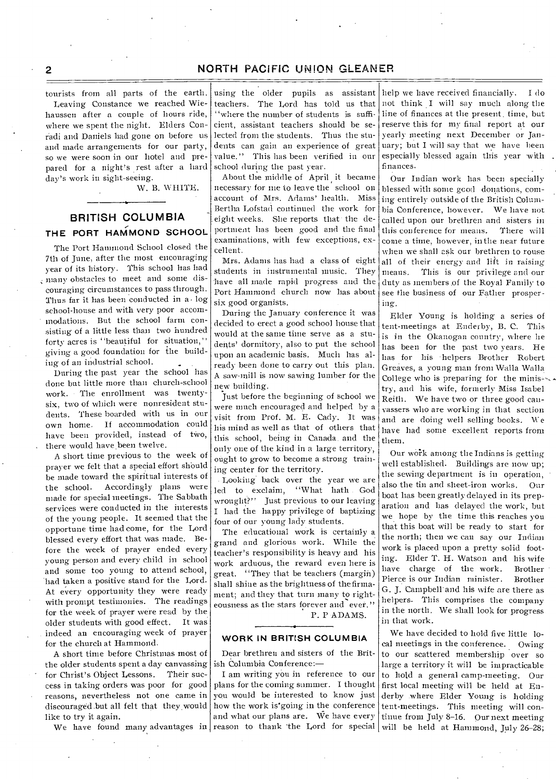tourists from all parts of the earth.

Leaving Constance we reached Wiehaussen after a couple of hours ride, where we spent the night. Elders Conradi and Daniels had gone on before us and made arrangements for our party, so we were soon in our hotel and prepared for a night's rest after a hard day's work in sight-seeing.

W. B. WHITE.

# **BRITISH COLUMBIA THE PORT HAMMOND SCHOOL**

The Port Hammond School closed the 7th of June, after the most encouraging year of its history. This school has had ; many obstacles to meet and some discouraging circumstances to pass through. Thus far it has been conducted in a. log school-house and with very poor accommodations. But the school farm consisting of a little less than two hundred forty acres is "beautiful for situation," giving a good foundation for the building of an industrial school.

During the past year the school has done but little more than church-school work. • The enrollment was twentysix, two of which were nonresident students. These boarded with us in our own home. If accommodation could have been provided, instead of two, there would have been twelve.

A short time previous to the week of prayer we felt that a special effort should be made toward the spiritual interests of the school. Accordingly plans were made for special meetings. The Sabbath services were conducted in the interests of the young people. It seemed that the opportune time had come, for the Lord blessed every effort that was made. Before the week of prayer ended every young person and every child in school and some too young to attend school, had taken a positive stand for the Lord. At every opportunity they were ready with prompt testimonies. The readings for the week of prayer were read by the older students with good effect. It was indeed an encouraging week of prayer for the church at Hammond.

A short time before Christmas most of the older students spent a day canvassing for Christ's Object Lessons. Their success in taking orders was poor for good reasons, nevertheless not one came in discouraged. but all felt that they.would like to try it again.

We have found many advantages in

using the older pupils as assistant teachers. The Lord has told us that "where the number of students is sufficient, assistant teachers should be selected from the students. Thus the students can gain an experience of great value." This has been verified in our school during the past year.

About the middle of April it became necessary for me to leave the school on account of Mrs. Adams' health. Miss Bertha Lofstad continued the work for eight weeks. She reports that the deportment has been good and the final examinations, with few exceptions, excellent.

Mrs. Adams has had a class of eight students in instrumental music. They have all made rapid progress and the Port Hammond church now has about six good organists.

During the January conference it was decided to erect a good school house that would at the same time serve as a students' dormitory, also to put the school upon an academic basis. Much has already been done to carry out this plan. A saw-mill is now sawing lumber for the new building.

Just before the beginning of school we were much encouraged and helped by a visit from Prof. M. E. Cady. It was Ins mind as well as that of others that this school, being in Canada. and the only one of the kind in a large territory, ought to grow to become a strong training center for the territory.

Looking back over the year we are led to exclaim, "What bath God wrought?" Just previous to our leaving I had the happy privilege of baptizing four of our young lady students.

The educational work is certainly a grand and glorious work. While the teacher's responsibility is heavy and his work arduous, the reward even here is great. "They that be teachers (margin) shall shine as the brightness of the firmament; and they that turn many to righteousness as the stars forever and ever." P. P ADAMS.

#### **WORK IN BRITISH COLUMBIA**

Dear brethren and sisters of the British Columbia Conference:—

I am writing yOu in reference to our plans for the coming summer. I thought you would be interested to know just how the work is'going in the conference and what our plans are. We have every

help we have received financially. I do not think I will say much along the line of finances at the present. time, but reserve this for my final report at our yearly meeting next December or January; but I will say that we have been especially blessed again this year with finances.

Our Indian work has been specially blessed with some good donations, coming entirely outside of the British Columbia Conference, however. We have not called upon our brethren and sisters in this conference for means. There will come a time, however, in the near future when we shall ask our brethren to rouse all of their energy and lift in raising means. This is our privilege and our duty as members of the Royal Family to see the business of our Father prospering.

Elder Young is holding a series of tent-meetings at Enderby, B. C. This is in the Okanogan country, where he has been for the past two years. He has for his helpers Brother Robert Greaves, a young man from Walla Walla College who is preparing for the ministry, and his wife, formerly Miss Isabel Reith. We have two or three good canvassers who are working in that section and are doing well selling books. We have had some excellent reports from them.

Our work among the Indians is getting well established. Buildings are now up; the sewing department is in operation, also the tin and sheet-iron works. Our boat has been greatly delayed in its preparation and has delayed the work, but we hope by the time this reaches you that this boat will he ready to start for the north; then we can say our Indian work is placed- upon a pretty solid footing. Elder T. H. Watson and his wife have charge of the work. Brother Pierce is our Indian minister. Brother G. J. Campbell and his wife are there as helpers. This comprises the company in the north. We shall look for progress in that work.

reason to thank the Lord for special will be held at Hammond, July 26-28; We have decided to hold five little local meetings in the conference. Owing to our scattered membership over so large a territory it will be impracticable to hold a general camp-meeting. Our first local meeting will be held at Enderby .where Elder Young is holding tent-meetings. This meeting will continue from July 8-16. Our next meeting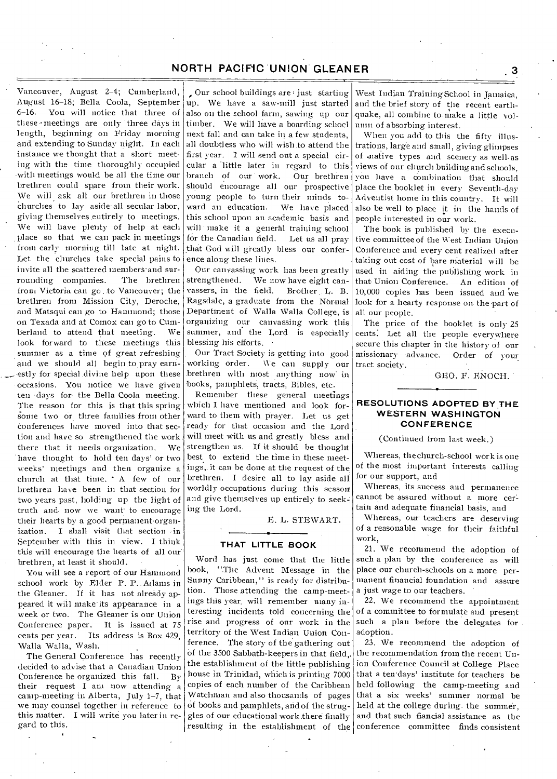Vancouver, August 2-4; Cumberland, August 16-18; Bella Coola, September 6-16. You will notice that three of these - meetings are only three days in length, beginning on Friday morning and extending to Sunday night. In each instance we thought that a short meeting with the time thoroughly occupied -with meetings would be all the time our brethren could spare from their work. We will ask all our brethren in those Churches to lay aside-all secular labor, giving themselves entirely to meetings. We will have plenty of help at each place so that we can pack in meetings from early morning till late at night. Let the churches take special pains to invite all the scattered members-and surrounding companies. The brethren from Victoria can go . to Vancouver; the brethren from Mission City, Deroche, and Matsqui can go to Hammond; those on Texada and at Comox can go to Cumberland to attend that meeting. We look forward to these meetings this summer as a time of great refreshing and we should all begin to pray earnestly for special divine help upon these occasions. You notice we have given ten days for the Bella Coola meeting. The reason for this is that this spring some two or three families from other conferences have moved into that section and have so strengthened the work, there that it needs organization. We 'have thought to hold ten days' or two weeks' meetings and then organize a church at that time. A few of our brethren have been in that section for two years past, holding up the light of truth and. now we want to encourage their hearts by a good permanent organization. I shall visit that section in I shall visit that section in September with this in view. I think this will encourage the hearts of all our<br>brethren, at least it should.

You will see a report of our Hammond. school work by Elder P. P.. Adams in the Gleaner. If it has not already appeared it will make its appearance in a week or two. The Gleaner is our Union Conference paper. It is issued at 75<br>cents per year. Its address is Box 429. Its address is Box 429. Walla Walla, Wash.

The General Conference has recently decided to advise that a Canadian Union<br>Conference be organized this fall. By Conference be organized this fall. their request I am now attending a camp-meeting in Alberta, July 1-7, that we may counsel together in reference to this matter. I will write you later in regard to this.

Our school buildings are just starting up. We have a saw-mill just started also on the school farm, sawing up our timber. We will have a boarding school next fall and can take in a few students, all doubtless who will wish to attend the first year. I will send out a special circular a little later in regard to this branch of our work. Our brethren should encourage all our prospective young people to turn their minds toward an education. We have placed this school upon an academic basis and will make it a general training school for the Canadian field. Let us all pray that God will greatly bless our conference along these lines.

Our canvassing work has been greatly strengthened. We now have eight canvassers, in the field. Brother L. B. Ragsdale, a graduate from the Normal Department of Walla Walla College, is organizing our canvassing work this summer, and the Lord is especially blessing his efforts. •

Our Tract Society is getting into good working order. We can supply our brethren with most anything now in books, pamphlets, tracts, Bibles, etc.

Remember these general meetings which I have mentioned and look forward to them with prayer. Let us get ready for that occasion and the Lord will meet with us and greatly bless and strengthen us. If it should be thought best to extend the time in these meetings, it can be done at the request of the brethren. I desire all to lay aside all worldly occupations during this season and give themselves up entirely to seeking the Lord.

E. U. STEWART.

### **THAT LITTLE BOOK**

Word has just come that the little book, "The Advent Message in the Sunny Caribbean,'' is ready for distribution. Those attending the camp-meetings this year. will remember many interesting incidents told concerning the rise and progress of our work in the territory of the West Indian Union Conference. The story of the gathering out of the 3500 Sabbath-keepers in that field,. the establishment of the little publishing house in Trinidad, which is printing 7000 copies of each number of the Caribbean Watchman and also thousands of pages Of books and pamphlets, and of the struggles of our educational work there finally resulting in the establishment of the conference committee finds consistent

West Indian Training School in Jamaica, and the brief story of the recent earthquake, all combine to- make a little volmm of absorbing interest.

When you add to this the fifty illustrations, large and small, giving glimpses of suative types and scenery as well-as views of our church building and schools, you have a combination that should place the booklet in every Seveith-day Adventist home in this country. It will also be well to place it in the hands of people interested in our work.

The book is published by the executive committee of the West Indian Union Conference and every cent realized after taking out cost of bare material will be used in aiding the publishing work in that Union Conference. An edition of 10,000 copies has been issued and  $\mathrm{vec}$ look for a hearty response on the part of all our people.

The price of the booklet is only 25 cents: Let all the people everywhere secure this chapter in the history of our missionary advance. Order of your tract society.

GEO. F. ENOCH.

#### **RESOLUTIONS ADOPTED BY THE WESTERN WASHINGTON CONFERENCE**

(Continued from last week.)

Whereas, the church-school work is one of the most important interests calling for our support, and

Whereas, its success and permanence cannot be assured without a more certain and adequate financial basis, and

Whereas, our teachers are deserving of a reasonable wage for their faithful work,

21. We recommend the adoption of such a plan by the conference as will place our church-schools on a more permanent financial foundation and assure a just wage to our teachers.

22. We recommend the appointment of a committee to formulate and present such a plan before the delegates for adoption.

23. We recommend the adoption of the recommendation from the recent Union Conference Council at College Place that a ten days' institute for teachers be held following the camp-meeting and that a six weeks' summer normal be held at the college during. the summer, and that such fiancial assistance as the

 $3<sub>1</sub>$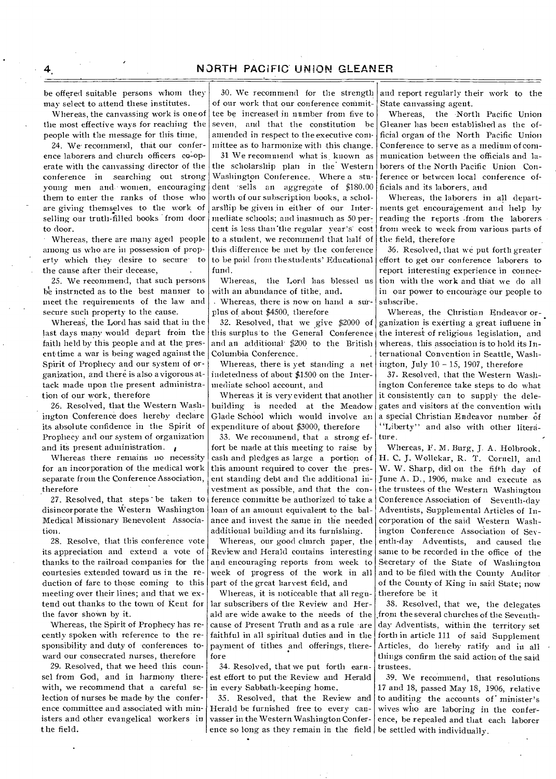be offered suitable persons whom they may select to attend these institutes.

Whereas, the canvassing work is one of the most effective ways for reaching the people with the message for this time,

24. We recommend, that our conference laborers and church officers co-operate with the canvassing director of the conference in searching out strong young men and.• women, encouraging them to enter the ranks of those who are giving themselves to the work of selling our truth-filled books from door to door.

• Whereas, there are many aged people among us who are in possession of property which they desire to secure to the cause after their decease,

25. We recommend, that such persons be instructed as to the best manner to meet the requirements of the law and secure such property to the cause.

Whereas, the Lord has said that in the last days many would depart froin the faith held by this people and at the presenttime a war is being waged against the Spirit of Prophecy and our system of organization, and there is also a vigorous attack made upon the present administration of our work, therefore

26. Resolved, that the Western Washington Conference does hereby declare its absolute confidence in the Spirit of Prophecy and our system of organization and its present administration.

Whereas there remains no necessity for an incorporation of the medical work separate from the Conference Association, therefore

27. Resolved, that steps • be taken to disincorporate the Western Washington Medical Missionary Benevolent Association.

28. Resolve, that this conference vote its appreciation and extend a vote of thanks to the railroad companies for the courtesies extended toward us in the reduction of fare to those coming to this meeting over their lines; and that we extend out thanks to the town of Kent for the favor shown by it.

Whereas, the Spirit of Prophecy has recently spoken with reference to the responsibility and duty of conferences toward our consecrated nurses, therefore

29. Resolved, that we heed this counsel from God, and in harmony therewith, we recommend that a careful selection of nurses be made by the conference committee and associated with ministers and other evangelical workers in the field.

30. We recommend for the strength of our work that our conference committee be increased in number from five to seven, and that the constitution be amended in respect to the executive committee as to harmonize with this change.

31 We recommend what is known as the scholarship plan in the' Western Washington Conference. Where a student 'sells an aggregate of \$180.00 worth of our subscription books, a scholarship he given in either of our Intermediate schools; and inasmuch as 50 per: cent is less than"the regular year's' cost to a student, we recommend that half of this difference be met by the conference to be paid from the students' Educational fund.

Whereas, the Lord has blessed us with an abundance of tithe, and.

. Whereas, there is now on hand a surplus of about \$4500, therefore

32. Resolved, that we give \$2000 of this surplus 'to the General Conference and an additional \$200 to the British Columbia Conference.

Whereas, there is yet standing a net indetedness of about \$1500 on the Intermediate school account, and

Whereas it is very evident that another building is needed at the Meadow Glade School which would involve an expenditure of about \$3000, therefore

33. We recommend, that a strong effort be made at this meeting to raise by cash and pledges as large a portion of this amount required to cover the • present standing debt and the additional investment as possible, and that the conference committe be authorized to take a loan of an amount equivalent to the balance and invest the same in the needed additional building and its furnishing.

Whereas, our good church paper, the Review and Herald contains interesting and encouraging reports from week to week of progress of the work in all part of the great harvest field, and

Whereas, it is noticeable that all regular subscribers of the Review and Herald are wide awake to the needs of the cause of Present Truth and as a rule -are faithful in all spiritual duties and in the payment of tithes and offerings, therefore

34. Resolved, that we put forth earnest effort to put the Review and Herald in every Sabbath-keeping home.

35. Resolved, that the Review and Herald be furnished free to every canvasser in the Western Washington Conference so long as they remain in the field be settled with individually.

•

and report regularly their work to the State canvassing agent.

Whereas, the -North Pacific Union Gleaner has been established as the official organ of the North Pacific Union Conference to serve as a medium of communication between the officials and laborers of the North Pacific Union Conference or between local conference officials and its laborers, and

Whereas, the laborers in all departments get encouragement and help by reading the reports from the laborers from week to week from various parts of the field, therefore

36. Resolved, that we put forth greater effort to get our conference laborers to report interesting experience in connection with the work and that we do all in our power to encourage our people to subscribe.

Whereas, the Christian Endeavor organization is exerting a great iufluene in the interest of religious legislation, and whereas, this association is to hold its International Convention in Seattle, Washington, July  $10 - 15$ , 1907, therefore

37. Resolved, that the Western Washington Conference take steps to do what it consistently can to supply the delegates and visitors at the convention with a special Christian Endeavor number of "Liberty" and also with other literature.

Whereas, F. M. Burg, J. A. Holbrook. H. C. J. Wollekar, R. T. Cornell, and W. W. Sharp, did on the fifth day of June A. D., 1906, make and execute as the trustees of the Western Washington Conference Association of Seventh-day Adventists, Supplemental Articles of Incorporation of the said Western Washington Conference Association of Seventh-day Adventists, and caused the same to be recorded in the office of the Secretary of the State of Washington and to be filed with the County Auditor of the County of King in said State; now therefore be it

38. Resolved, that we, the delegates from the several churches of the Seventhday Adventists, within the territory set forth in article 111 of said Supplement Articles, do hereby ratify and in all things confirm the said action of the said trustees

39. We recommend, that resolutions 17 and 18, passed May 18, 1906, relative to auditing the accounts of minister's wives who are laboring in the conference, be repealed and that each laborer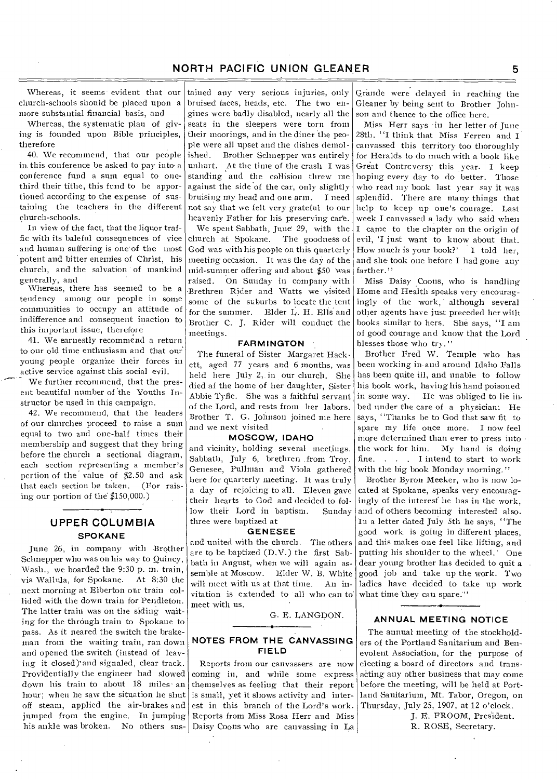Whereas, it seems evident that our church-schools should be placed upon a more substantial financial basis, and

Whereas, the systematic plan of giving is founded upon Bible principles, therefore

40. We recommend, that our people in. this conference be asked to pay into. a conference fund a sum equal to onethird their tithe, this fund to be apportioned according to the expense of sustaining the teachers in the different church-schools.

In view of the fact, that the liquor traffic with its baleful consequences of vice and human suffering is one of the most potent and hitter enemies of Christ, his church, and the salvation of mankind generally, and

Whereas, there has seemed to be a tendency among our people in some communities to occupy an attitude of indifference and consequent inaction to this important issue, therefore

41. We earnestly recommend a return to our old time enthusiasm and that our young people organize their forces in active service against this social evil.

We further recommend, that the present beautiful number of the Youths Instructor be used in this campaign.

42. We recommend, that the leaders of our churches proceed to raise a suni equal to two and one-half times their membership and suggest that they bring before the church a sectional diagram, each section representing a member's pertion of the value of \$2.50 and ask that each section be taken. (For raising our portion of the \$150,000.)

# **UPPER COLUMBIA SPOKANE**

June 26, in company with Brother Schnepper who was on his way to Quincy, Wash., we boarded the 9:30 p. m. train, via Wallula, for Spokane. At 8:30 the next morning at Elberton our train collided with the down train for Pendleton. The latter train was on the siding waiting for the through train to Spokane to pass. As it neared the switch the brakeman from the waiting train, ran down and opened the switch (instead of leaving it closed)'and signaled, clear track. Providentially the engineer had slowed down his train to about 18 miles' an hour; when he saw the situation he shut off steam, applied the air-brakes and jumped from the engine. In jumping his ankle was broken. No others sus-

tained any very serious injuries, only bruised faces, heads, etc. The two engines were badly disabled, nearly all the seats in the sleepers were torn from their moorings, and in the diner the people were all upset and the dishes demol-

ished. Brother Schnepper was entirely unhurt. At the time of the crash I was standing and the collision threw me against the side of the car, only slightly bruising my head and one arm. I need not say that we felt very grateful to our heavenly Father for his preserving care.

We spent Sabbath, June 29, with the church at Spokane. The goodness of God was with his people on this quarterly meeting occasion. It was the day of the mid-summer offering and about \$50 'was raised. On Sunday in company with 'Brethren Rider and Watts we visited some of the suburbs to locate the tent for the summer. Elder L. H. Ells and Brother C. J. Rider will conduct the meetings.

#### **FARMINGTON**

The funeral of Sister Margaret Hackett, aged 77 years and 6 months, was held here July 2, in our church. She died of the home of her daughter, Sister Abbie Tyfle. She was a faithful servant of the Lord, and rests from her labors. Brother T. G. Johnson joined me here and we next visited

#### **MOSCOW, IDAHO**

and vicinity, holding several meetings. Sabbath, July 6, brethren from Troy, Genesee, Pullman and Viola gathered here for quarterly meeting. It was truly a day of rejoicing to all. Eleven gave their hearts to God and decided to follow their Lord in baptism. Sunday three were baptized at

#### **GENESEE**

and united with the church. The others are to be baptized (D.V.) the first Sabbath in August, when we will again assemble at Moscow. Elder W. B. White will meet with us at that time. An invitation is extended to all who can to' meet with us.

G. E. LANGDON.

#### **NOTES FROM THE CANVASSING FIELD**

Reports from our canvassers are now coming in, and while some express themselves as feeling that their report is small, yet it shows activity and interest in this branch of the Lord's work. Reports from Miss Rosa Herr and Miss Daisy Coons who are canvassing in La

Grande were delayed in reaching the Gleaner by being sent to Brother Johnson and thence to the office here.

Miss Herr says in her letter of June 28th. "I think that Miss Ferren and I canvassed this territory too thoroughly for Heralds to do much with a book like Great Contrcversy this year. I keep hoping every day to do better. Those who read my book last year say it was splendid. There are many things that help to keep up one's courage: Last week I canvassed a lady who said when I came to the chapter on the origin of evil, 'I just want to know about that. How much is your book?' I told her, and she took one before I had gone any farther."

Miss Daisy Coons, who is handling Home and Health speaks very encouragingly of the work, although several other agents have just preceded her with books similar to hers. She says, "I am of good courage and know that the Lord blesses those who try."

Brother Fred W. Temple who has been working in.and around Idaho Falls has been quite ill, and unable to follow his book work, having his hand poisoned in some way. He was obliged to lie inbed under the care of a physician: He says, "Thanks be to God that saw fit to spare my life once more. I now feel more determined than ever to press into the work for him. My hand is doing fine. . . . I intend to start to work with the big book Monday morning."

Brother Byron Meeker, who is now located at Spokane, speaks very encouragingly of the interest he has in the work, and of others becoming interested also. In a letter dated July 5th he says, '`The good work is going in different places, and this makes one feel like lifting, and putting Ins shoulder to the wheel.' One dear young brother has decided to quit a good job and take up the work. Two ladies have decided to take up work what time they can spare."'

#### **ANNUAL MEETING NOTICE**

The annual meeting of the stockholders of the Portland Sanitarium and Benevolent Association, for the purpose of electing a board of directors and transacting any other business that may come before the meeting, will be held at Portland Sanitarium, Mt. Tabor, Oregon, on Thursday, July 25, 1907, at 12 o'clock.

> J. E. FROOM, President. R. ROSE, Secretary.